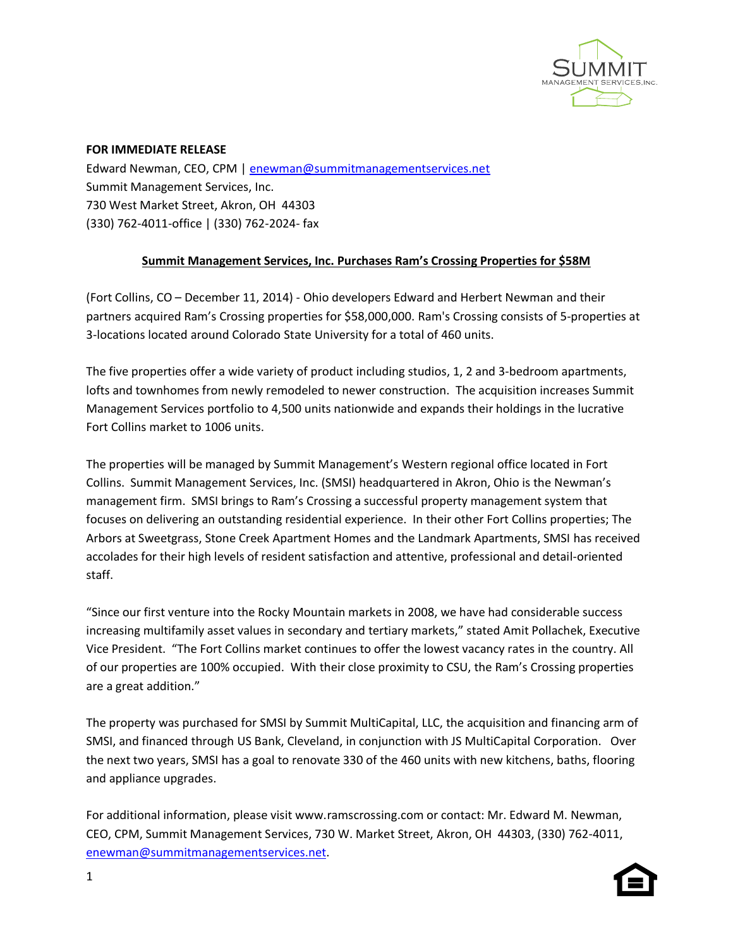

## **FOR IMMEDIATE RELEASE**

Edward Newman, CEO, CPM | [enewman@summitmanagementservices.net](mailto:enewman@summitmanagementservices.net) Summit Management Services, Inc. 730 West Market Street, Akron, OH 44303 (330) 762-4011-office | (330) 762-2024- fax

## **Summit Management Services, Inc. Purchases Ram's Crossing Properties for \$58M**

(Fort Collins, CO – December 11, 2014) - Ohio developers Edward and Herbert Newman and their partners acquired Ram's Crossing properties for \$58,000,000. Ram's Crossing consists of 5-properties at 3-locations located around Colorado State University for a total of 460 units.

The five properties offer a wide variety of product including studios, 1, 2 and 3-bedroom apartments, lofts and townhomes from newly remodeled to newer construction. The acquisition increases Summit Management Services portfolio to 4,500 units nationwide and expands their holdings in the lucrative Fort Collins market to 1006 units.

The properties will be managed by Summit Management's Western regional office located in Fort Collins. Summit Management Services, Inc. (SMSI) headquartered in Akron, Ohio is the Newman's management firm. SMSI brings to Ram's Crossing a successful property management system that focuses on delivering an outstanding residential experience. In their other Fort Collins properties; The Arbors at Sweetgrass, Stone Creek Apartment Homes and the Landmark Apartments, SMSI has received accolades for their high levels of resident satisfaction and attentive, professional and detail-oriented staff.

"Since our first venture into the Rocky Mountain markets in 2008, we have had considerable success increasing multifamily asset values in secondary and tertiary markets," stated Amit Pollachek, Executive Vice President. "The Fort Collins market continues to offer the lowest vacancy rates in the country. All of our properties are 100% occupied. With their close proximity to CSU, the Ram's Crossing properties are a great addition."

The property was purchased for SMSI by Summit MultiCapital, LLC, the acquisition and financing arm of SMSI, and financed through US Bank, Cleveland, in conjunction with JS MultiCapital Corporation. Over the next two years, SMSI has a goal to renovate 330 of the 460 units with new kitchens, baths, flooring and appliance upgrades.

For additional information, please visit www.ramscrossing.com or contact: Mr. Edward M. Newman, CEO, CPM, Summit Management Services, 730 W. Market Street, Akron, OH 44303, (330) 762-4011, [enewman@summitmanagementservices.net.](mailto:enewman@summitmanagementservices.net)